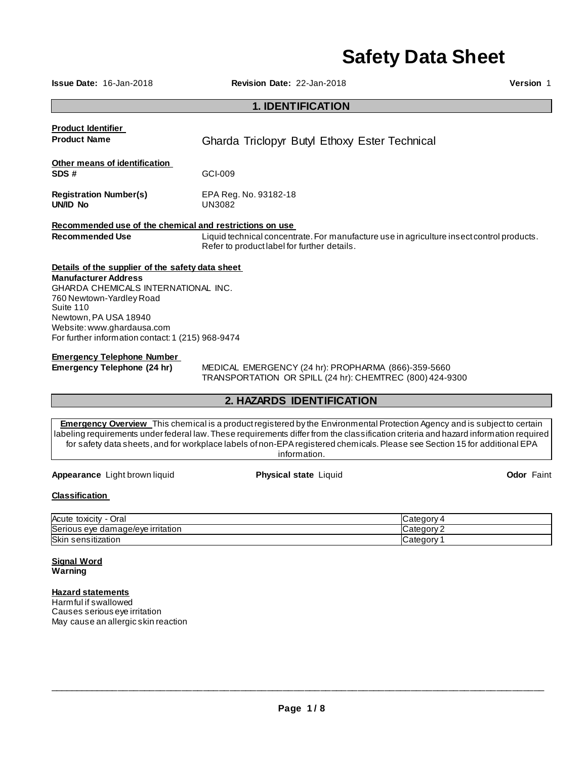# **Safety Data Sheet**

**Issue Date:** 16-Jan-2018 **Revision Date:** 22-Jan-2018 **Version** 1

# **1. IDENTIFICATION**

| <b>Product Identifier</b>                               |                                                                                                                                          |
|---------------------------------------------------------|------------------------------------------------------------------------------------------------------------------------------------------|
| <b>Product Name</b>                                     | Gharda Triclopyr Butyl Ethoxy Ester Technical                                                                                            |
| Other means of identification                           |                                                                                                                                          |
| SDS#                                                    | GCI-009                                                                                                                                  |
| <b>Registration Number(s)</b><br>UN/ID No               | EPA Reg. No. 93182-18<br>UN3082                                                                                                          |
|                                                         |                                                                                                                                          |
| Recommended use of the chemical and restrictions on use |                                                                                                                                          |
| <b>Recommended Use</b>                                  | Liquid technical concentrate. For manufacture use in agriculture insect control products.<br>Refer to product label for further details. |
| Details of the supplier of the safety data sheet        |                                                                                                                                          |
| <b>Manufacturer Address</b>                             |                                                                                                                                          |
| GHARDA CHEMICALS INTERNATIONAL INC.                     |                                                                                                                                          |
| 760 Newtown-Yardley Road                                |                                                                                                                                          |
| Suite 110                                               |                                                                                                                                          |
| Newtown, PA USA 18940                                   |                                                                                                                                          |
| Website: www.ghardausa.com                              |                                                                                                                                          |
| For further information contact: 1 (215) 968-9474       |                                                                                                                                          |
| <b>Emergency Telephone Number</b>                       |                                                                                                                                          |
| Emergency Telephone (24 hr)                             | MEDICAL EMERGENCY (24 hr): PROPHARMA (866)-359-5660                                                                                      |

TRANSPORTATION OR SPILL (24 hr): CHEMTREC (800) 424-9300

# **2. HAZARDS IDENTIFICATION**

**Emergency Overview** This chemical is a product registered by the Environmental Protection Agency and is subject to certain labeling requirements under federal law. These requirements differ from the classification criteria and hazard information required for safety data sheets, and for workplace labels of non-EPA registered chemicals. Please see Section 15 for additional EPA information.

**Appearance** Light brown liquid **Physical state** Liquid **Odor** Faint

# **Classification**

| Acute toxicity<br>⊃ral<br>$\overline{\phantom{0}}$ | – ategory⊿      |
|----------------------------------------------------|-----------------|
| Serious eye damage/eye irritation                  | ∵ategorvٽ       |
| <b>Skir</b><br>sensitization                       | <b>Category</b> |

#### **Signal Word Warning**

# **Hazard statements**

Harmful if swallowed Causes serious eye irritation May cause an allergic skin reaction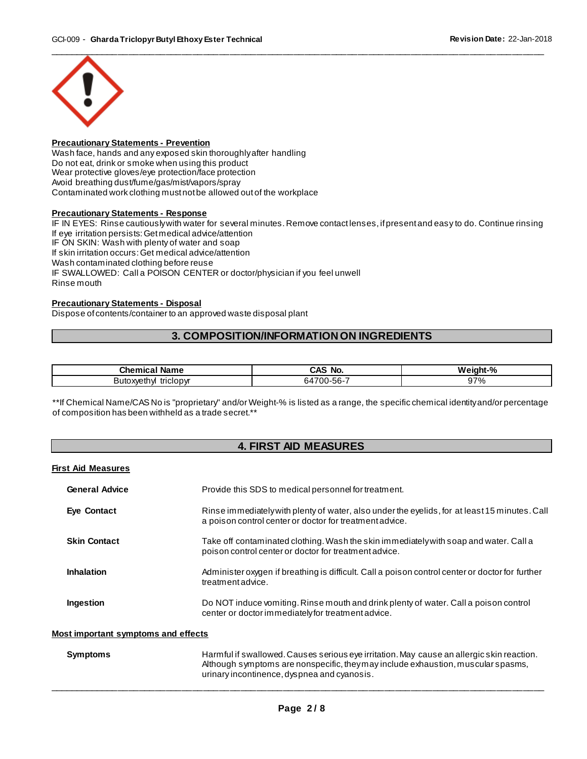

#### **Precautionary Statements - Prevention**

Wash face, hands and any exposed skin thoroughly after handling Do not eat, drink or smoke when using this product Wear protective gloves/eye protection/face protection Avoid breathing dust/fume/gas/mist/vapors/spray Contaminated work clothing must not be allowed out of the workplace

#### **Precautionary Statements - Response**

IF IN EYES: Rinse cautiously with water for several minutes. Remove contact lenses, if present and easy to do. Continue rinsing If eye irritation persists: Get medical advice/attention IF ON SKIN: Wash with plenty of water and soap If skin irritation occurs: Get medical advice/attention Wash contaminated clothing before reuse IF SWALLOWED: Call a POISON CENTER or doctor/physician if you feel unwell Rinse mouth

#### **Precautionary Statements - Disposal**

Dispose of contents/container to an approved waste disposal plant

# **3. COMPOSITION/INFORMATION ON INGREDIENTS**

| Chemical<br>Name                  | CAS<br>`No.              | w.<br>eiaht-%<br>70 |
|-----------------------------------|--------------------------|---------------------|
| triclopyr<br>Butc<br>วxveth<br>ıм | - ^<br>ს-56-<br>64<br>vv | ገ7%                 |

\*\*If Chemical Name/CAS No is "proprietary" and/or Weight-% is listed as a range, the specific chemical identity and/or percentage of composition has been withheld as a trade secret.\*\*

# **4. FIRST AID MEASURES**

# **First Aid Measures**

| <b>General Advice</b>                      | Provide this SDS to medical personnel for treatment.                                                                                                     |  |
|--------------------------------------------|----------------------------------------------------------------------------------------------------------------------------------------------------------|--|
| Eye Contact                                | Rinse immediately with plenty of water, also under the eyelids, for at least 15 minutes. Call<br>a poison control center or doctor for treatment advice. |  |
| <b>Skin Contact</b>                        | Take off contaminated clothing. Wash the skin immediately with soap and water. Call a<br>poison control center or doctor for treatment advice.           |  |
| <b>Inhalation</b>                          | Administer oxygen if breathing is difficult. Call a poison control center or doctor for further<br>treatment advice.                                     |  |
| <b>Ingestion</b>                           | Do NOT induce vomiting. Rinse mouth and drink plenty of water. Call a poison control<br>center or doctor immediately for treatment advice.               |  |
| <b>Most important symptoms and effects</b> |                                                                                                                                                          |  |

| Symptoms | Harmful if swallowed. Causes serious eye irritation. May cause an allergic skin reaction.<br>Although symptoms are nonspecific, they may include exhaustion, muscular spasms, |
|----------|-------------------------------------------------------------------------------------------------------------------------------------------------------------------------------|
|          | urinary incontinence, dyspnea and cyanosis.                                                                                                                                   |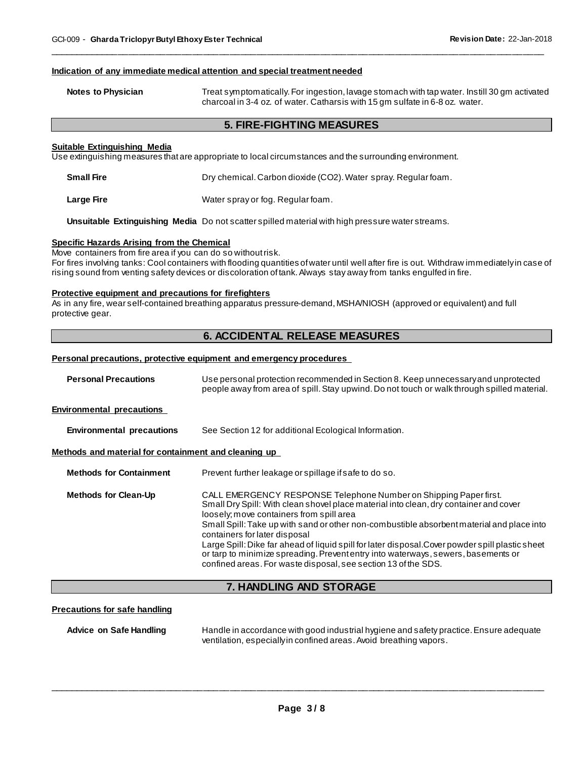#### **Indication of any immediate medical attention and special treatment needed**

| <b>Notes to Physician</b> | Treat symptomatically. For ingestion, lavage stomach with tap water. Instill 30 gm activated |
|---------------------------|----------------------------------------------------------------------------------------------|
|                           | charcoal in 3-4 oz. of water. Catharsis with 15 gm sulfate in 6-8 oz. water.                 |

\_\_\_\_\_\_\_\_\_\_\_\_\_\_\_\_\_\_\_\_\_\_\_\_\_\_\_\_\_\_\_\_\_\_\_\_\_\_\_\_\_\_\_\_\_\_\_\_\_\_\_\_\_\_\_\_\_\_\_\_\_\_\_\_\_\_\_\_\_\_\_\_\_\_\_\_\_\_\_\_\_\_\_\_\_\_\_\_\_\_\_\_\_

#### **5. FIRE-FIGHTING MEASURES**

#### **Suitable Extinguishing Media**

Use extinguishing measures that are appropriate to local circumstances and the surrounding environment.

| <b>Small Fire</b> | Dry chemical. Carbon dioxide (CO2). Water spray. Regular foam. |
|-------------------|----------------------------------------------------------------|
| Large Fire        | Water spray or fog. Regular foam.                              |

**Unsuitable Extinguishing Media** Do not scatter spilled material with high pressure water streams.

#### **Specific Hazards Arising from the Chemical**

Move containers from fire area if you can do so without risk. For fires involving tanks: Cool containers with flooding quantities of water until well after fire is out. Withdraw immediately in case of rising sound from venting safety devices or discoloration of tank. Always stay away from tanks engulfed in fire.

#### **Protective equipment and precautions for firefighters**

As in any fire, wear self-contained breathing apparatus pressure-demand, MSHA/NIOSH (approved or equivalent) and full protective gear.

# **6. ACCIDENTAL RELEASE MEASURES**

#### **Personal precautions, protective equipment and emergency procedures**

| <b>Personal Precautions</b>                          | Use personal protection recommended in Section 8. Keep unnecessary and unprotected<br>people away from area of spill. Stay upwind. Do not touch or walk through spilled material.                                                                                                                                                                                                                                                                                                                                                                                                               |  |
|------------------------------------------------------|-------------------------------------------------------------------------------------------------------------------------------------------------------------------------------------------------------------------------------------------------------------------------------------------------------------------------------------------------------------------------------------------------------------------------------------------------------------------------------------------------------------------------------------------------------------------------------------------------|--|
| <b>Environmental precautions</b>                     |                                                                                                                                                                                                                                                                                                                                                                                                                                                                                                                                                                                                 |  |
| <b>Environmental precautions</b>                     | See Section 12 for additional Ecological Information.                                                                                                                                                                                                                                                                                                                                                                                                                                                                                                                                           |  |
| Methods and material for containment and cleaning up |                                                                                                                                                                                                                                                                                                                                                                                                                                                                                                                                                                                                 |  |
| <b>Methods for Containment</b>                       | Prevent further leakage or spillage if safe to do so.                                                                                                                                                                                                                                                                                                                                                                                                                                                                                                                                           |  |
| <b>Methods for Clean-Up</b>                          | CALL EMERGENCY RESPONSE Telephone Number on Shipping Paper first.<br>Small Dry Spill: With clean shovel place material into clean, dry container and cover<br>loosely; move containers from spill area<br>Small Spill: Take up with sand or other non-combustible absorbent material and place into<br>containers for later disposal<br>Large Spill: Dike far ahead of liquid spill for later disposal. Cover powder spill plastic sheet<br>or tarp to minimize spreading. Prevent entry into waterways, sewers, basements or<br>confined areas. For waste disposal, see section 13 of the SDS. |  |

# **7. HANDLING AND STORAGE**

#### **Precautions for safe handling**

**Advice on Safe Handling** Handle in accordance with good industrial hygiene and safety practice. Ensure adequate ventilation, especially in confined areas. Avoid breathing vapors.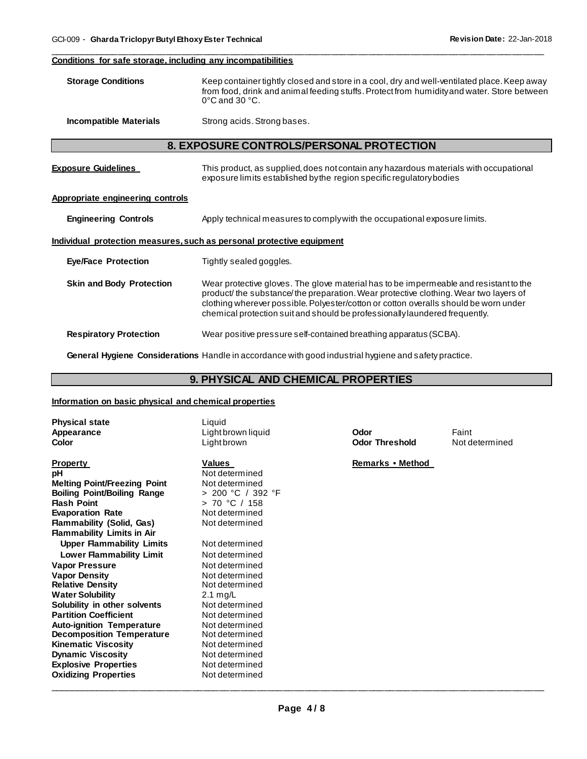#### **Conditions for safe storage, including any incompatibilities**

**Storage Conditions** Keep container tightly closed and store in a cool, dry and well-ventilated place. Keep away from food, drink and animal feeding stuffs. Protect from humidity and water. Store between 0°C and 30 °C.

\_\_\_\_\_\_\_\_\_\_\_\_\_\_\_\_\_\_\_\_\_\_\_\_\_\_\_\_\_\_\_\_\_\_\_\_\_\_\_\_\_\_\_\_\_\_\_\_\_\_\_\_\_\_\_\_\_\_\_\_\_\_\_\_\_\_\_\_\_\_\_\_\_\_\_\_\_\_\_\_\_\_\_\_\_\_\_\_\_\_\_\_\_

**Incompatible Materials Strong acids. Strong bases.** 

# **8. EXPOSURE CONTROLS/PERSONAL PROTECTION**

| <b>Exposure Guidelines</b>                                            | This product, as supplied, does not contain any hazardous materials with occupational<br>exposure limits established by the region specific regulatory bodies                                                                                                                                                                                       |  |
|-----------------------------------------------------------------------|-----------------------------------------------------------------------------------------------------------------------------------------------------------------------------------------------------------------------------------------------------------------------------------------------------------------------------------------------------|--|
| Appropriate engineering controls                                      |                                                                                                                                                                                                                                                                                                                                                     |  |
| <b>Engineering Controls</b>                                           | Apply technical measures to comply with the occupational exposure limits.                                                                                                                                                                                                                                                                           |  |
| Individual protection measures, such as personal protective equipment |                                                                                                                                                                                                                                                                                                                                                     |  |
| <b>Eye/Face Protection</b>                                            | Tightly sealed goggles.                                                                                                                                                                                                                                                                                                                             |  |
| <b>Skin and Body Protection</b>                                       | Wear protective gloves. The glove material has to be impermeable and resistant to the<br>product/the substance/the preparation. Wear protective clothing. Wear two layers of<br>clothing wherever possible. Polyester/cotton or cotton overalls should be worn under<br>chemical protection suit and should be professionally laundered frequently. |  |
| <b>Respiratory Protection</b>                                         | Wear positive pressure self-contained breathing apparatus (SCBA).                                                                                                                                                                                                                                                                                   |  |

**General Hygiene Considerations** Handle in accordance with good industrial hygiene and safety practice.

# **9. PHYSICAL AND CHEMICAL PROPERTIES**

#### **Information on basic physical and chemical properties**

| <b>Physical state</b><br>Appearance<br>Color                                                                                                                                                                                                                                                                                                                                                                                                                                                                                                                                     | Liauid<br>Light brown liquid<br>Lightbrown                                                                                                                                                                                                                                                                                            | Odor<br><b>Odor Threshold</b> | Faint<br>Not determined |
|----------------------------------------------------------------------------------------------------------------------------------------------------------------------------------------------------------------------------------------------------------------------------------------------------------------------------------------------------------------------------------------------------------------------------------------------------------------------------------------------------------------------------------------------------------------------------------|---------------------------------------------------------------------------------------------------------------------------------------------------------------------------------------------------------------------------------------------------------------------------------------------------------------------------------------|-------------------------------|-------------------------|
| <b>Property</b><br>рH<br><b>Melting Point/Freezing Point</b><br><b>Boiling Point/Boiling Range</b><br><b>Flash Point</b><br><b>Evaporation Rate</b><br><b>Flammability (Solid, Gas)</b><br><b>Flammability Limits in Air</b><br><b>Upper Flammability Limits</b><br><b>Lower Flammability Limit</b><br><b>Vapor Pressure</b><br><b>Vapor Density</b><br><b>Relative Density</b><br><b>Water Solubility</b><br>Solubility in other solvents<br><b>Partition Coefficient</b><br><b>Auto-ignition Temperature</b><br><b>Decomposition Temperature</b><br><b>Kinematic Viscosity</b> | <b>Values</b><br>Not determined<br>Not determined<br>> 200 °C / 392 °F<br>> 70 °C / 158<br>Not determined<br>Not determined<br>Not determined<br>Not determined<br>Not determined<br>Not determined<br>Not determined<br>$2.1 \text{ mg/L}$<br>Not determined<br>Not determined<br>Not determined<br>Not determined<br>Not determined | Remarks • Method              |                         |
| <b>Dynamic Viscosity</b><br><b>Explosive Properties</b>                                                                                                                                                                                                                                                                                                                                                                                                                                                                                                                          | Not determined<br>Not determined                                                                                                                                                                                                                                                                                                      |                               |                         |
| <b>Oxidizing Properties</b>                                                                                                                                                                                                                                                                                                                                                                                                                                                                                                                                                      | Not determined                                                                                                                                                                                                                                                                                                                        |                               |                         |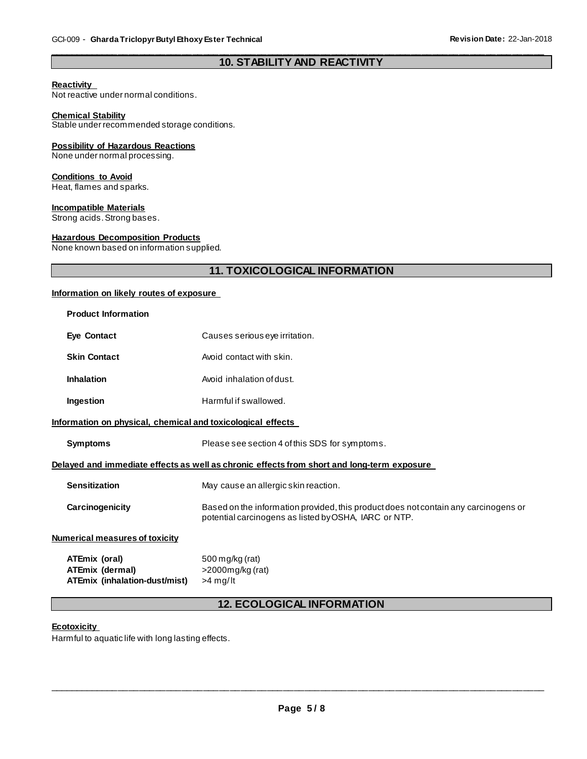#### \_\_\_\_\_\_\_\_\_\_\_\_\_\_\_\_\_\_\_\_\_\_\_\_\_\_\_\_\_\_\_\_\_\_\_\_\_\_\_\_\_\_\_\_\_\_\_\_\_\_\_\_\_\_\_\_\_\_\_\_\_\_\_\_\_\_\_\_\_\_\_\_\_\_\_\_\_\_\_\_\_\_\_\_\_\_\_\_\_\_\_\_\_ **10. STABILITY AND REACTIVITY**

#### **Reactivity**

Not reactive under normal conditions.

#### **Chemical Stability**

Stable under recommended storage conditions.

#### **Possibility of Hazardous Reactions**

None under normal processing.

#### **Conditions to Avoid**

Heat, flames and sparks.

#### **Incompatible Materials**

Strong acids. Strong bases.

#### **Hazardous Decomposition Products**

None known based on information supplied.

# **11. TOXICOLOGICAL INFORMATION**

#### **Information on likely routes of exposure**

| <b>Product Information</b>                                                                 |                                                                                                                                              |  |
|--------------------------------------------------------------------------------------------|----------------------------------------------------------------------------------------------------------------------------------------------|--|
| <b>Eye Contact</b>                                                                         | Causes serious eye irritation.                                                                                                               |  |
| <b>Skin Contact</b>                                                                        | Avoid contact with skin.                                                                                                                     |  |
| <b>Inhalation</b>                                                                          | Avoid inhalation of dust.                                                                                                                    |  |
| Ingestion                                                                                  | Harmful if swallowed.                                                                                                                        |  |
| Information on physical, chemical and toxicological effects                                |                                                                                                                                              |  |
| <b>Symptoms</b>                                                                            | Please see section 4 of this SDS for symptoms.                                                                                               |  |
| Delayed and immediate effects as well as chronic effects from short and long-term exposure |                                                                                                                                              |  |
| <b>Sensitization</b>                                                                       | May cause an allergic skin reaction.                                                                                                         |  |
| Carcinogenicity                                                                            | Based on the information provided, this product does not contain any carcinogens or<br>potential carcinogens as listed by OSHA, IARC or NTP. |  |
| Numerical measures of toxicity                                                             |                                                                                                                                              |  |
| ATEmix (oral)<br>ATEmix (dermal)<br>ATEmix (inhalation-dust/mist)                          | 500 mg/kg (rat)<br>$>$ 2000 $mg/kg$ (rat)<br>>4 mg/lt                                                                                        |  |

# **12. ECOLOGICAL INFORMATION**

#### **Ecotoxicity**

Harmful to aquatic life with long lasting effects.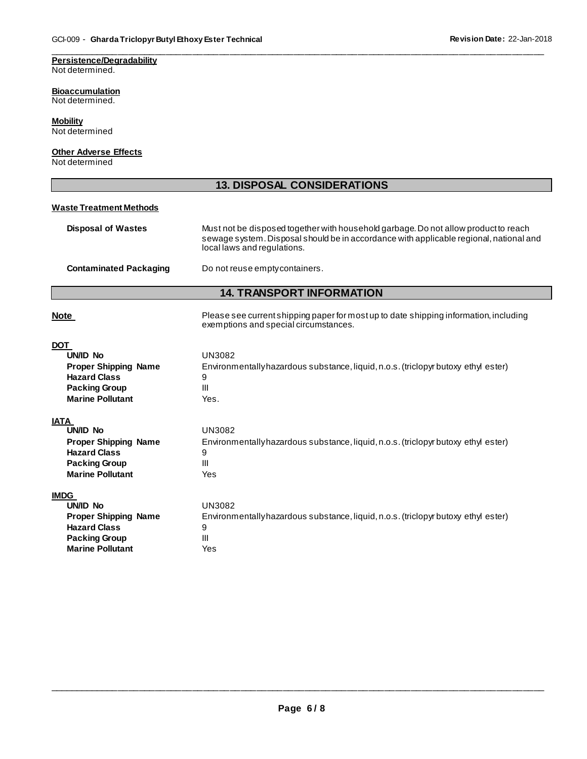# **Persistence/Degradability**

Not determined.

#### **Bioaccumulation**

Not determined.

# **Mobility**

Not determined

### **Other Adverse Effects**

Not determined

# **13. DISPOSAL CONSIDERATIONS**

\_\_\_\_\_\_\_\_\_\_\_\_\_\_\_\_\_\_\_\_\_\_\_\_\_\_\_\_\_\_\_\_\_\_\_\_\_\_\_\_\_\_\_\_\_\_\_\_\_\_\_\_\_\_\_\_\_\_\_\_\_\_\_\_\_\_\_\_\_\_\_\_\_\_\_\_\_\_\_\_\_\_\_\_\_\_\_\_\_\_\_\_\_

#### **Waste Treatment Methods**

| <b>Disposal of Wastes</b> | Must not be disposed together with household garbage. Do not allow product to reach<br>sewage system. Disposal should be in accordance with applicable regional, national and<br>local laws and regulations. |
|---------------------------|--------------------------------------------------------------------------------------------------------------------------------------------------------------------------------------------------------------|
|                           |                                                                                                                                                                                                              |

# **Contaminated Packaging Do not reuse empty containers.**

# **14. TRANSPORT INFORMATION**

| <b>Note</b>                                                                                                                     | Please see current shipping paper for most up to date shipping information, including<br>exemptions and special circumstances. |
|---------------------------------------------------------------------------------------------------------------------------------|--------------------------------------------------------------------------------------------------------------------------------|
| <b>DOT</b><br>UN/ID No<br><b>Proper Shipping Name</b><br><b>Hazard Class</b><br><b>Packing Group</b><br><b>Marine Pollutant</b> | <b>UN3082</b><br>Environmentally hazardous substance, liquid, n.o.s. (triclopyr butoxy ethyl ester)<br>9<br>Ш<br>Yes.          |
| <b>IATA</b><br>UN/ID No                                                                                                         | <b>UN3082</b>                                                                                                                  |
| <b>Proper Shipping Name</b><br><b>Hazard Class</b>                                                                              | Environmentally hazardous substance, liquid, n.o.s. (triclopyr butoxy ethyl ester)<br>9                                        |
| <b>Packing Group</b>                                                                                                            | Ш                                                                                                                              |
| <b>Marine Pollutant</b>                                                                                                         | Yes                                                                                                                            |
| <b>IMDG</b>                                                                                                                     |                                                                                                                                |
| IBIAN NE                                                                                                                        | $\overline{11110000}$                                                                                                          |

| UN/ID No                    | UN3082                                                                             |
|-----------------------------|------------------------------------------------------------------------------------|
| <b>Proper Shipping Name</b> | Environmentally hazardous substance, liquid, n.o.s. (triclopyr butoxy ethyl ester) |
| <b>Hazard Class</b>         |                                                                                    |
| <b>Packing Group</b>        | Ш                                                                                  |
| <b>Marine Pollutant</b>     | Yes                                                                                |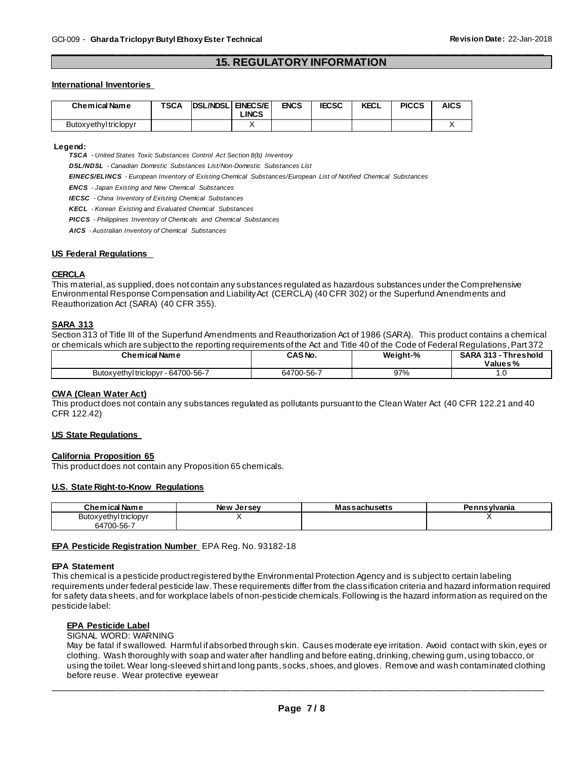#### \_\_\_\_\_\_\_\_\_\_\_\_\_\_\_\_\_\_\_\_\_\_\_\_\_\_\_\_\_\_\_\_\_\_\_\_\_\_\_\_\_\_\_\_\_\_\_\_\_\_\_\_\_\_\_\_\_\_\_\_\_\_\_\_\_\_\_\_\_\_\_\_\_\_\_\_\_\_\_\_\_\_\_\_\_\_\_\_\_\_\_\_\_ **15. REGULATORY INFORMATION**

#### **International Inventories**

| <b>Chemical Name</b>  | <b>TSCA</b> | <b>DSL/NDSLI</b> | <b>ENECS/E</b><br>LINCS | <b>ENCS</b> | <b>IECSC</b> | <b>KECL</b> | <b>PICCS</b> | AICS |
|-----------------------|-------------|------------------|-------------------------|-------------|--------------|-------------|--------------|------|
| Butoxyethyl triclopyr |             |                  |                         |             |              |             |              |      |

#### **Legend:**

*TSCA - United States Toxic Substances Control Act Section 8(b) Inventory* 

*DSL/NDSL - Canadian Domestic Substances List/Non-Domestic Substances List* 

*EINECS/ELINCS - European Inventory of Existing Chemical Substances/European List of Notified Chemical Substances* 

*ENCS - Japan Existing and New Chemical Substances* 

*IECSC - China Inventory of Existing Chemical Substances* 

*KECL - Korean Existing and Evaluated Chemical Substances* 

*PICCS - Philippines Inventory of Chemicals and Chemical Substances* 

*AICS - Australian Inventory of Chemical Substances* 

#### **US Federal Regulations**

#### **CERCLA**

This material, as supplied, does not contain any substances regulated as hazardous substances under the Comprehensive Environmental Response Compensation and Liability Act (CERCLA) (40 CFR 302) or the Superfund Amendments and Reauthorization Act (SARA) (40 CFR 355).

#### **SARA 313**

Section 313 of Title III of the Superfund Amendments and Reauthorization Act of 1986 (SARA). This product contains a chemical or chemicals which are subject to the reporting requirements of the Act and Title 40 of the Code of Federal Regulations, Part 372

| <b>Chemical Name</b>                 | CAS No.    | Weight-% | <b>SARA 313 -</b><br>Threshold<br>Values% |
|--------------------------------------|------------|----------|-------------------------------------------|
| - 64700-56-7<br>Butoxyethyltriclopyr | 64700-56-7 | 97%      | .v                                        |

#### **CWA (Clean Water Act)**

This product does not contain any substances regulated as pollutants pursuant to the Clean Water Act (40 CFR 122.21 and 40 CFR 122.42)

#### **US State Regulations**

#### **California Proposition 65**

This product does not contain any Proposition 65 chemicals.

#### **U.S. State Right-to-Know Regulations**

| <b>Chemical Name</b> | New<br>. Jersev | <b>:sachusetts</b><br>Mas | ennsvlvania:<br> |
|----------------------|-----------------|---------------------------|------------------|
| Butoxyethyltriclopyr |                 |                           |                  |
| 64700-56-7           |                 |                           |                  |

#### **EPA Pesticide Registration Number** EPA Reg. No. 93182-18

#### **EPA Statement**

This chemical is a pesticide product registered by the Environmental Protection Agency and is subject to certain labeling requirements under federal pesticide law. These requirements differ from the classification criteria and hazard information required for safety data sheets, and for workplace labels of non-pesticide chemicals. Following is the hazard information as required on the pesticide label:

#### **EPA Pesticide Label**

SIGNAL WORD: WARNING

May be fatal if swallowed. Harmful if absorbed through skin. Causes moderate eye irritation. Avoid contact with skin, eyes or clothing. Wash thoroughly with soap and water after handling and before eating, drinking, chewing gum, using tobacco, or using the toilet. Wear long-sleeved shirt and long pants, socks, shoes, and gloves. Remove and wash contaminated clothing before reuse. Wear protective eyewear